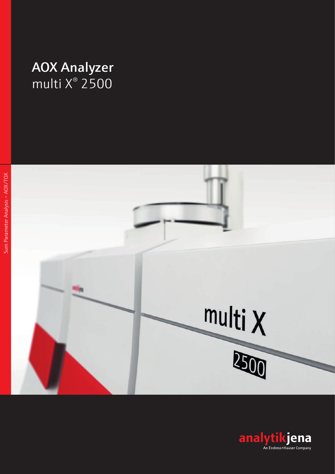# **AOX Analyzer**<br>multi X<sup>®</sup> 2500

multi X 200

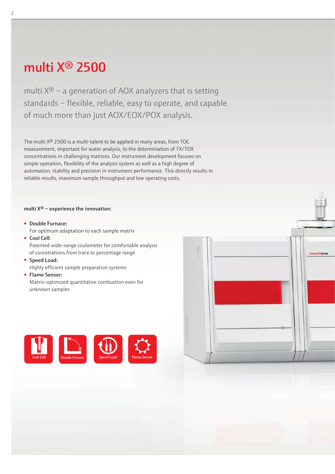# [multi X® 2500](https://www.analytik-jena.de/en/analytical-instrumentation/products/aoxtoxeox/multi-xr-2500.html?utm_source=Brochure-multiX-en&utm_medium=PDF&utm_campaign=multiX)

2

multi  $X^{\circledast}$  – a generation of AOX analyzers that is setting standards – flexible, reliable, easy to operate, and capable of much more than just AOX/EOX/POX analysis.

The [multi X® 2500](https://www.analytik-jena.de/en/analytical-instrumentation/products/aoxtoxeox/multi-xr-2500.html?utm_source=Brochure-multiX-en&utm_medium=PDF&utm_campaign=multiX) is a multi-talent to be applied in many areas, from TOC measurement, important for water analysis, to the determination of TX/TOX concentrations in challenging matrices. Our instrument development focuses on simple operation, flexibility of the analysis system as well as a high degree of automation, stability and precision in instrument performance. This directly results in reliable results, maximum sample throughput and low operating costs.

#### multi  $X^{\circledast}$  – experience the innovation:

- Double Furnace: For optimum adaptation to each sample matrix
- Cool Cell: Patented wide-range coulometer for comfortable analysis of concetrations from trace to percentage range
- Speed Load: Highly efficient sample preparation systems
- Flame Sensor: Matrix-optimized quantitative combustion even for unknown samples



|        |  |    | 石林<br><b>V</b> |
|--------|--|----|----------------|
| ٠<br>ł |  |    | analytikjena   |
|        |  | H, |                |
|        |  |    |                |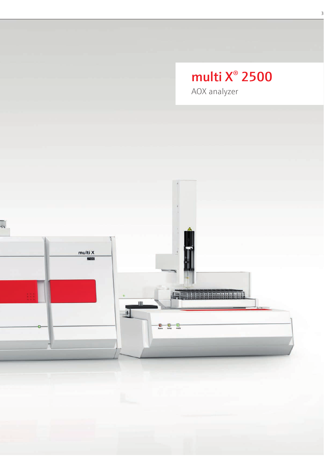# multi X<sup>®</sup> 2500

 $\overline{3}$ 

AOX analyzer

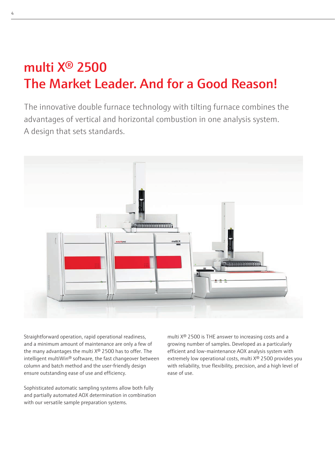# [multi X® 2500](https://www.analytik-jena.de/en/analytical-instrumentation/products/aoxtoxeox/multi-xr-2500.html?utm_source=Brochure-multiX-en&utm_medium=PDF&utm_campaign=multiX)  [The Market Leader. And for a Good Reason!](https://www.analytik-jena.de/en/analytical-instrumentation/products/aoxtoxeox/multi-xr-2500.html?utm_source=Brochure-multiX-en&utm_medium=PDF&utm_campaign=multiX)

The innovative double furnace technology with tilting furnace combines the advantages of vertical and horizontal combustion in one analysis system. A design that sets standards.



Straightforward operation, rapid operational readiness, and a minimum amount of maintenance are only a few of the many advantages the multi  $X^{\circledast}$  2500 has to offer. The intelligent multiWin® software, the fast changeover between column and batch method and the user-friendly design ensure outstanding ease of use and efficiency.

Sophisticated automatic sampling systems allow both fully and partially automated AOX determination in combination with our versatile sample preparation systems.

[multi X® 2500](https://www.analytik-jena.de/en/analytical-instrumentation/products/aoxtoxeox/multi-xr-2500.html?utm_source=Brochure-multiX-en&utm_medium=PDF&utm_campaign=multiX) is THE answer to increasing costs and a growing number of samples. Developed as a particularly efficient and low-maintenance AOX analysis system with extremely low operational costs, multi X® 2500 provides you with reliability, true flexibility, precision, and a high level of ease of use.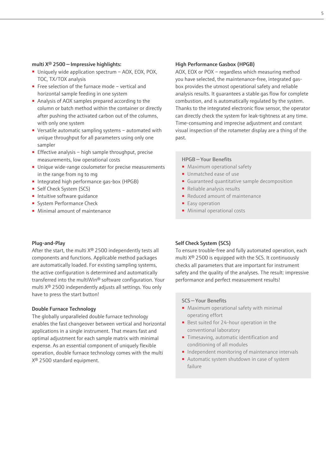#### [multi X® 2500 — Impressive highlights](https://www.analytik-jena.de/en/analytical-instrumentation/products/aoxtoxeox/multi-xr-2500.html?utm_source=Brochure-multiX-en&utm_medium=PDF&utm_campaign=multiX):

- Uniquely wide application spectrum AOX, EOX, POX, TOC, TX/TOX analysis
- Free selection of the furnace mode vertical and horizontal sample feeding in one system
- Analysis of AOX samples prepared according to the column or batch method within the container or directly after pushing the activated carbon out of the columns, with only one system
- Versatile automatic sampling systems automated with unique throughput for all parameters using only one sampler
- Effective analysis high sample throughput, precise measurements, low operational costs
- Unique wide-range coulometer for precise measurements in the range from ng to mg
- Integrated high performance gas-box (HPGB)
- Self Check System (SCS)
- Intuitive software quidance
- System Performance Check
- Minimal amount of maintenance

#### Plug-and-Play

After the start, the multi X® 2500 independently tests all components and functions. Applicable method packages are automatically loaded. For existing sampling systems, the active configuration is determined and automatically transferred into the multiWin® software configuration. Your multi X® 2500 independently adjusts all settings. You only have to press the start button!

#### Double Furnace Technology

The globally unparalleled double furnace technology enables the fast changeover between vertical and horizontal applications in a single instrument. That means fast and optimal adjustment for each sample matrix with minimal expense. As an essential component of uniquely flexible operation, double furnace technology comes with the multi X® 2500 standard equipment.

#### High Performance Gasbox (HPGB)

AOX, EOX or POX – regardless which measuring method you have selected, the maintenance-free, integrated gasbox provides the utmost operational safety and reliable analysis results. It guarantees a stable gas flow for complete combustion, and is automatically regulated by the system. Thanks to the integrated electronic flow sensor, the operator can directly check the system for leak-tightness at any time. Time-consuming and imprecise adjustment and constant visual inspection of the rotameter display are a thing of the past.

#### HPGB — Your Benefits

- Maximum operational safety
- Unmatched ease of use
- Guaranteed quantitative sample decomposition
- Reliable analysis results
- Reduced amount of maintenance
- Easy operation
- Minimal operational costs

#### Self Check System (SCS)

To ensure trouble-free and fully automated operation, each multi X® 2500 is equipped with the SCS. It continuously checks all parameters that are important for instrument safety and the quality of the analyses. The result: impressive performance and perfect measurement results!

#### SCS — Your Benefits

- Maximum operational safety with minimal operating effort
- Best suited for 24-hour operation in the conventional laboratory
- Timesaving, automatic identification and conditioning of all modules
- Independent monitoring of maintenance intervals
- Automatic system shutdown in case of system failure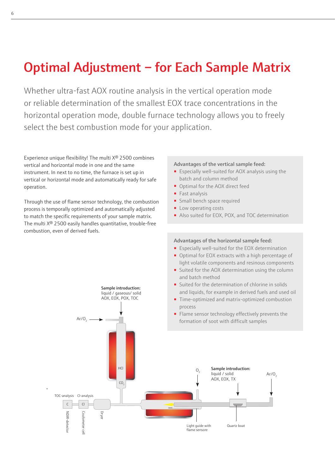# [Optimal Adjustment – for Each Sample Matrix](https://www.analytik-jena.de/en/analytical-instrumentation/products/aoxtoxeox/multi-xr-2500.html?utm_source=Brochure-multiX-en&utm_medium=PDF&utm_campaign=multiX)

Whether ultra-fast AOX routine analysis in the vertical operation mode or reliable determination of the smallest EOX trace concentrations in the horizontal operation mode, double furnace technology allows you to freely select the best combustion mode for your application.

Experience unique flexibility! The multi X® 2500 combines vertical and horizontal mode in one and the same instrument. In next to no time, the furnace is set up in vertical or horizontal mode and automatically ready for safe operation.

Through the use of flame sensor technology, the combustion process is temporally optimized and automatically adjusted to match the specific requirements of your sample matrix. The [multi X® 2500](https://www.analytik-jena.de/en/analytical-instrumentation/products/aoxtoxeox/multi-xr-2500.html?utm_source=Brochure-multiX-en&utm_medium=PDF&utm_campaign=multiX) easily handles quantitative, trouble-free combustion, even of derived fuels.

 $Ar/O<sub>2</sub>$  -

Sample introduction: liquid / gaseous/ solid AOX, EOX, POX, TOC

#### Advantages of the vertical sample feed:

- Especially well-suited for AOX analysis using the batch and column method
- Optimal for the AOX direct feed
- Fast analysis
- Small bench space required
- Low operating costs
- Also suited for EOX, POX, and TOC determination

#### Advantages of the horizontal sample feed:

- Especially well-suited for the EOX determination
- Optimal for EOX extracts with a high percentage of light volatile components and resinous components
- Suited for the AOX determination using the column and batch method
- Suited for the determination of chlorine in solids and liquids, for example in derived fuels and used oil
- Time-optimized and matrix-optimized combustion process
- Flame sensor technology effectively prevents the formation of soot with difficult samples

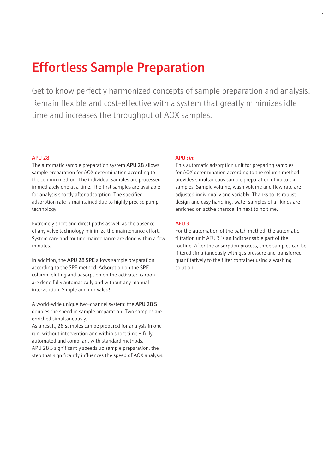### Effortless Sample Preparation

Get to know perfectly harmonized concepts of sample preparation and analysis! Remain flexible and cost-effective with a system that greatly minimizes idle time and increases the throughput of AOX samples.

#### APU 28

The automatic sample preparation system APU 28 allows sample preparation for AOX determination according to the column method. The individual samples are processed immediately one at a time. The first samples are available for analysis shortly after adsorption. The specified adsorption rate is maintained due to highly precise pump technology.

Extremely short and direct paths as well as the absence of any valve technology minimize the maintenance effort. System care and routine maintenance are done within a few minutes.

In addition, the APU 28 SPE allows sample preparation according to the SPE method. Adsorption on the SPE column, eluting and adsorption on the activated carbon are done fully automatically and without any manual intervention. Simple and unrivaled!

A world-wide unique two-channel system: the APU 28 S doubles the speed in sample preparation. Two samples are enriched simultaneously.

As a result, 28 samples can be prepared for analysis in one run, without intervention and within short time – fully automated and compliant with standard methods. APU 28 S significantly speeds up sample preparation, the step that significantly influences the speed of AOX analysis.

#### APU *sim*

This automatic adsorption unit for preparing samples for AOX determination according to the column method provides simultaneous sample preparation of up to six samples. Sample volume, wash volume and flow rate are adjusted individually and variably. Thanks to its robust design and easy handling, water samples of all kinds are enriched on active charcoal in next to no time.

#### AFU 3

For the automation of the batch method, the automatic filtration unit AFU 3 is an indispensable part of the routine. After the adsorption process, three samples can be filtered simultaneously with gas pressure and transferred quantitatively to the filter container using a washing solution.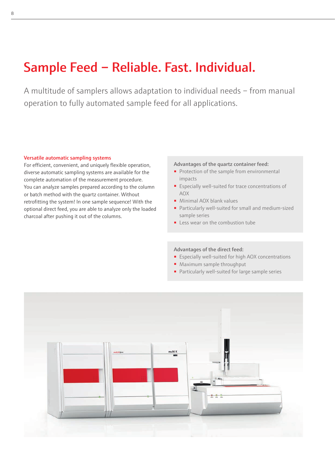# [Sample Feed – Reliable. Fast. Individual.](https://www.analytik-jena.de/en/analytical-instrumentation/products/aoxtoxeox/multi-xr-2500.html?utm_source=Brochure-multiX-en&utm_medium=PDF&utm_campaign=multiX)

A multitude of samplers allows adaptation to individual needs – from manual operation to fully automated sample feed for all applications.

#### Versatile automatic sampling systems

For efficient, convenient, and uniquely flexible operation, diverse automatic sampling systems are available for the complete automation of the measurement procedure. You can analyze samples prepared according to the column or batch method with the quartz container. Without retrofitting the system! In one sample sequence! With the optional direct feed, you are able to analyze only the loaded charcoal after pushing it out of the columns.

#### Advantages of the quartz container feed:

- Protection of the sample from environmental impacts
- Especially well-suited for trace concentrations of AOX
- Minimal AOX blank values
- Particularly well-suited for small and medium-sized sample series
- Less wear on the combustion tube

#### Advantages of the direct feed:

- Especially well-suited for high AOX concentrations
- Maximum sample throughput
- Particularly well-suited for large sample series

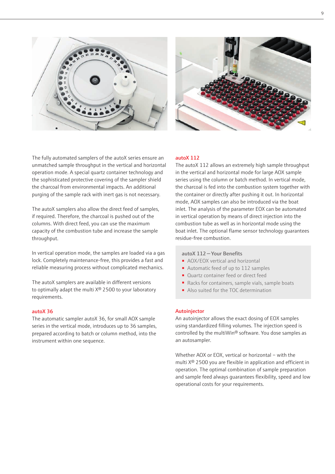



The fully automated samplers of the autoX series ensure an unmatched sample throughput in the vertical and horizontal operation mode. A special quartz container technology and the sophisticated protective covering of the sampler shield the charcoal from environmental impacts. An additional purging of the sample rack with inert gas is not necessary.

The autoX samplers also allow the direct feed of samples, if required. Therefore, the charcoal is pushed out of the columns. With direct feed, you can use the maximum capacity of the combustion tube and increase the sample throughput.

In vertical operation mode, the samples are loaded via a gas lock. Completely maintenance-free, this provides a fast and reliable measuring process without complicated mechanics.

The autoX samplers are available in different versions to optimally adapt the multi X® 2500 to your laboratory requirements.

#### autoX 36

The automatic sampler autoX 36, for small AOX sample series in the vertical mode, introduces up to 36 samples, prepared according to batch or column method, into the instrument within one sequence.

#### autoX 112

The autoX 112 allows an extremely high sample throughput in the vertical and horizontal mode for large AOX sample series using the column or batch method. In vertical mode, the charcoal is fed into the combustion system together with the container or directly after pushing it out. In horizontal mode, AOX samples can also be introduced via the boat inlet. The analysis of the parameter EOX can be automated in vertical operation by means of direct injection into the combustion tube as well as in horizontal mode using the boat inlet. The optional flame sensor technology guarantees residue-free combustion.

#### autoX 112 — Your Benefits

- AOX/EOX vertical and horizontal
- Automatic feed of up to 112 samples
- Quartz container feed or direct feed
- Racks for containers, sample vials, sample boats
- Also suited for the TOC determination

#### Autoinjector

An autoinjector allows the exact dosing of EOX samples using standardized filling volumes. The injection speed is controlled by the multiWin® software. You dose samples as an autosampler.

Whether AOX or EOX, vertical or horizontal – with the multi X® 2500 you are flexible in application and efficient in operation. The optimal combination of sample preparation and sample feed always guarantees flexibility, speed and low operational costs for your requirements.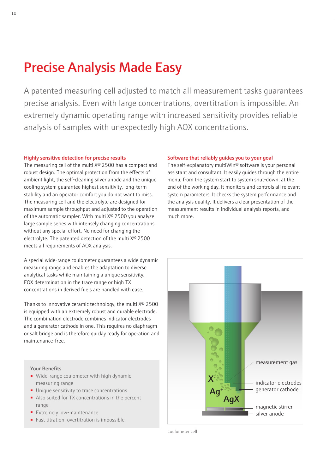### [Precise Analysis Made Easy](https://www.analytik-jena.de/en/analytical-instrumentation/products/aoxtoxeox/multi-xr-2500.html?utm_source=Brochure-multiX-en&utm_medium=PDF&utm_campaign=multiX)

A patented measuring cell adjusted to match all measurement tasks guarantees precise analysis. Even with large concentrations, overtitration is impossible. An extremely dynamic operating range with increased sensitivity provides reliable analysis of samples with unexpectedly high AOX concentrations.

#### Highly sensitive detection for precise results

The measuring cell of the multi  $X^{\circledast}$  2500 has a compact and robust design. The optimal protection from the effects of ambient light, the self-cleaning silver anode and the unique cooling system guarantee highest sensitivity, long-term stability and an operator comfort you do not want to miss. The measuring cell and the electrolyte are designed for maximum sample throughput and adjusted to the operation of the automatic sampler. With multi X® 2500 you analyze large sample series with intensely changing concentrations without any special effort. No need for changing the electrolyte. The patented detection of the [multi X® 2500](https://www.analytik-jena.de/en/analytical-instrumentation/products/aoxtoxeox/multi-xr-2500.html?utm_source=Brochure-multiX-en&utm_medium=PDF&utm_campaign=multiX)  meets all requirements of AOX analysis.

A special wide-range coulometer guarantees a wide dynamic measuring range and enables the adaptation to diverse analytical tasks while maintaining a unique sensitivity. EOX determination in the trace range or high TX concentrations in derived fuels are handled with ease.

Thanks to innovative ceramic technology, the multi X® 2500 is equipped with an extremely robust and durable electrode. The combination electrode combines indicator electrodes and a generator cathode in one. This requires no diaphragm or salt bridge and is therefore quickly ready for operation and maintenance-free.

#### Your Benefits

- Wide-range coulometer with high dynamic measuring range
- Unique sensitivity to trace concentrations
- Also suited for TX concentrations in the percent range
- Extremely low-maintenance
- Fast titration, overtitration is impossible

#### Software that reliably guides you to your goal

The self-explanatory multiWin® software is your personal assistant and consultant. It easily guides through the entire menu, from the system start to system shut-down, at the end of the working day. It monitors and controls all relevant system parameters. It checks the system performance and the analysis quality. It delivers a clear presentation of the measurement results in individual analysis reports, and much more.



Coulometer cell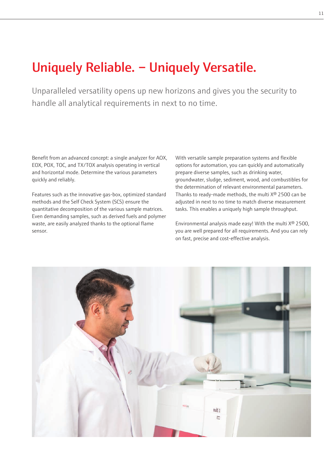## Uniquely Reliable. – Uniquely Versatile.

Unparalleled versatility opens up new horizons and gives you the security to handle all analytical requirements in next to no time.

Benefit from an advanced concept: a single analyzer for AOX, EOX, POX, TOC, and TX/TOX analysis operating in vertical and horizontal mode. Determine the various parameters quickly and reliably.

Features such as the innovative gas-box, optimized standard methods and the Self Check System (SCS) ensure the quantitative decomposition of the various sample matrices. Even demanding samples, such as derived fuels and polymer waste, are easily analyzed thanks to the optional flame sensor.

With versatile sample preparation systems and flexible options for automation, you can quickly and automatically prepare diverse samples, such as drinking water, groundwater, sludge, sediment, wood, and combustibles for the determination of relevant environmental parameters. Thanks to ready-made methods, the [multi X® 2500](https://www.analytik-jena.de/en/analytical-instrumentation/products/aoxtoxeox/multi-xr-2500.html?utm_source=Brochure-multiX-en&utm_medium=PDF&utm_campaign=multiX) can be adjusted in next to no time to match diverse measurement tasks. This enables a uniquely high sample throughput.

Environmental analysis made easy! With the multi X® 2500, you are well prepared for all requirements. And you can rely on fast, precise and cost-effective analysis.